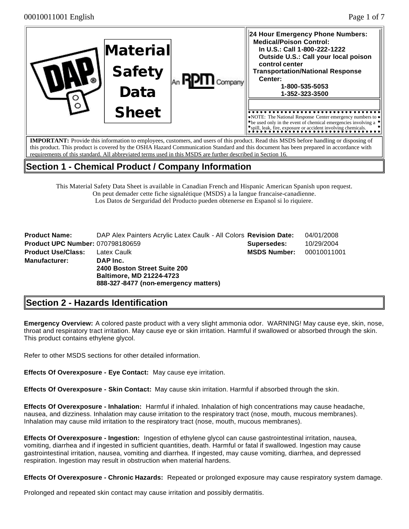| ିଲ | Material<br><b>Safety</b><br>Data | Company | 24 Hour Emergency Phone Numbers:<br><b>Medical/Poison Control:</b><br>In U.S.: Call 1-800-222-1222<br>Outside U.S.: Call your local poison<br>control center<br><b>Transportation/National Response</b><br>Center:<br>1-800-535-5053<br>1-352-323-3500 |
|----|-----------------------------------|---------|--------------------------------------------------------------------------------------------------------------------------------------------------------------------------------------------------------------------------------------------------------|
|    | <b>Sheet</b>                      |         | $\triangleright$ NOTE: The National Response Center emergency numbers to $\triangleright$<br>$\bullet$ be used only in the event of chemical emergencies involving a $\bullet$<br>spill, leak, fire, exposure or accident involving chemicals.         |
|    |                                   |         | <b>IMPORTANT:</b> Provide this information to employees customers, and users of this product. Read this MSDS before handling or disposing of                                                                                                           |

 $\delta$  pmers, and users of this product. Read this MSDS before h this product. This product is covered by the OSHA Hazard Communication Standard and this document has been prepared in accordance with requirements of this standard. All abbreviated terms used in this MSDS are further described in Section 16.

## **Section 1 - Chemical Product / Company Information**

This Material Safety Data Sheet is available in Canadian French and Hispanic American Spanish upon request. On peut demader cette fiche signalétique (MSDS) a la langue francaise-canadienne. Los Datos de Serguridad del Producto pueden obtenerse en Espanol si lo riquiere.

| <b>Product Name:</b>                    | DAP Alex Painters Acrylic Latex Caulk - All Colors Revision Date:                                                   |                     | 04/01/2008  |
|-----------------------------------------|---------------------------------------------------------------------------------------------------------------------|---------------------|-------------|
| <b>Product UPC Number: 070798180659</b> |                                                                                                                     | Supersedes:         | 10/29/2004  |
| <b>Product Use/Class:</b>               | Latex Caulk                                                                                                         | <b>MSDS Number:</b> | 00010011001 |
| <b>Manufacturer:</b>                    | DAP Inc.<br>2400 Boston Street Suite 200<br><b>Baltimore, MD 21224-4723</b><br>888-327-8477 (non-emergency matters) |                     |             |

# **Section 2 - Hazards Identification**

**Emergency Overview:** A colored paste product with a very slight ammonia odor. WARNING! May cause eye, skin, nose, throat and respiratory tract irritation. May cause eye or skin irritation. Harmful if swallowed or absorbed through the skin. This product contains ethylene glycol.

Refer to other MSDS sections for other detailed information.

**Effects Of Overexposure - Eye Contact:** May cause eye irritation.

**Effects Of Overexposure - Skin Contact:** May cause skin irritation. Harmful if absorbed through the skin.

**Effects Of Overexposure - Inhalation:** Harmful if inhaled. Inhalation of high concentrations may cause headache, nausea, and dizziness. Inhalation may cause irritation to the respiratory tract (nose, mouth, mucous membranes). Inhalation may cause mild irritation to the respiratory tract (nose, mouth, mucous membranes).

**Effects Of Overexposure - Ingestion:** Ingestion of ethylene glycol can cause gastrointestinal irritation, nausea, vomiting, diarrhea and if ingested in sufficient quantities, death. Harmful or fatal if swallowed. Ingestion may cause gastrointestinal irritation, nausea, vomiting and diarrhea. If ingested, may cause vomiting, diarrhea, and depressed respiration. Ingestion may result in obstruction when material hardens.

**Effects Of Overexposure - Chronic Hazards:** Repeated or prolonged exposure may cause respiratory system damage.

Prolonged and repeated skin contact may cause irritation and possibly dermatitis.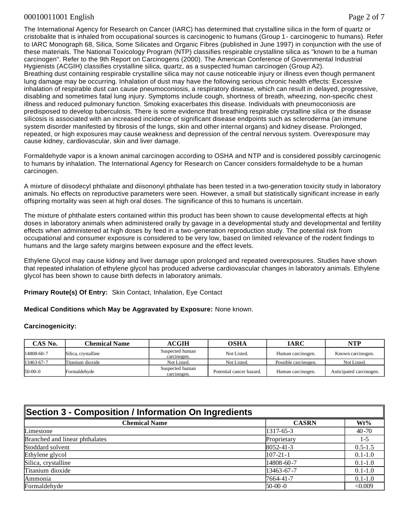#### 00010011001 English Page 2 of 7

The International Agency for Research on Cancer (IARC) has determined that crystalline silica in the form of quartz or cristobalite that is inhaled from occupational sources is carcinogenic to humans (Group 1- carcinogenic to humans). Refer to IARC Monograph 68, Silica, Some Silicates and Organic Fibres (published in June 1997) in conjunction with the use of these materials. The National Toxicology Program (NTP) classifies respirable crystalline silica as "known to be a human carcinogen". Refer to the 9th Report on Carcinogens (2000). The American Conference of Governmental Industrial Hygienists (ACGIH) classifies crystalline silica, quartz, as a suspected human carcinogen (Group A2). Breathing dust containing respirable crystalline silica may not cause noticeable injury or illness even though permanent lung damage may be occurring. Inhalation of dust may have the following serious chronic health effects: Excessive inhalation of respirable dust can cause pneumoconiosis, a respiratory disease, which can result in delayed, progressive, disabling and sometimes fatal lung injury. Symptoms include cough, shortness of breath, wheezing, non-specific chest illness and reduced pulmonary function. Smoking exacerbates this disease. Individuals with pneumoconiosis are predisposed to develop tuberculosis. There is some evidence that breathing respirable crystalline silica or the disease silicosis is associated with an increased incidence of significant disease endpoints such as scleroderma (an immune system disorder manifested by fibrosis of the lungs, skin and other internal organs) and kidney disease. Prolonged, repeated, or high exposures may cause weakness and depression of the central nervous system. Overexposure may cause kidney, cardiovascular, skin and liver damage.

Formaldehyde vapor is a known animal carcinogen according to OSHA and NTP and is considered possibly carcinogenic to humans by inhalation. The International Agency for Research on Cancer considers formaldehyde to be a human carcinogen.

A mixture of diisodecyl phthalate and diisononyl phthalate has been tested in a two-generation toxicity study in laboratory animals. No effects on reproductive parameters were seen. However, a small but statistically significant increase in early offspring mortality was seen at high oral doses. The significance of this to humans is uncertain.

The mixture of phthalate esters contained within this product has been shown to cause developmental effects at high doses in laboratory animals when administered orally by gavage in a developmental study and developmental and fertility effects when administered at high doses by feed in a two-generation reproduction study. The potential risk from occupational and consumer exposure is considered to be very low, based on limited relevance of the rodent findings to humans and the large safety margins between exposure and the effect levels.

Ethylene Glycol may cause kidney and liver damage upon prolonged and repeated overexposures. Studies have shown that repeated inhalation of ethylene glycol has produced adverse cardiovascular changes in laboratory animals. Ethylene glycol has been shown to cause birth defects in laboratory animals.

#### **Primary Route(s) Of Entry:** Skin Contact, Inhalation, Eye Contact

**Medical Conditions which May be Aggravated by Exposure:** None known.

#### **Carcinogenicity:**

| CAS No.    | Chemical Name       | <b>ACGIH</b>                   | OSHA                     | IARC                 | NTP                     |
|------------|---------------------|--------------------------------|--------------------------|----------------------|-------------------------|
| 14808-60-7 | Silica, crystalline | Suspected human<br>carcinogen. | Not Listed.              | Human carcinogen.    | Known carcinogen.       |
| 13463-67-7 | Titanium dioxide    | Not Listed.                    | Not Listed.              | Possible carcinogen. | Not Listed.             |
| $50-00-0$  | Formaldehyde        | Suspected human<br>carcinogen. | Potential cancer hazard. | Human carcinogen.    | Anticipated carcinogen. |

# **Section 3 - Composition / Information On Ingredients Chemical Name CASRN Wt%**

| Limestone                      | $1317 - 65 - 3$  | $40 - 70$   |
|--------------------------------|------------------|-------------|
| Branched and linear phthalates | Proprietary      | $1 - 5$     |
| Stoddard solvent               | 8052-41-3        | $0.5 - 1.5$ |
| Ethylene glycol                | $107 - 21 - 1$   | $0.1 - 1.0$ |
| Silica, crystalline            | 14808-60-7       | $0.1 - 1.0$ |
| Titanium dioxide               | $13463 - 67 - 7$ | $0.1 - 1.0$ |
| Ammonia                        | 7664-41-7        | $0.1 - 1.0$ |
| Formaldehyde                   | $50-00-0$        | < 0.009     |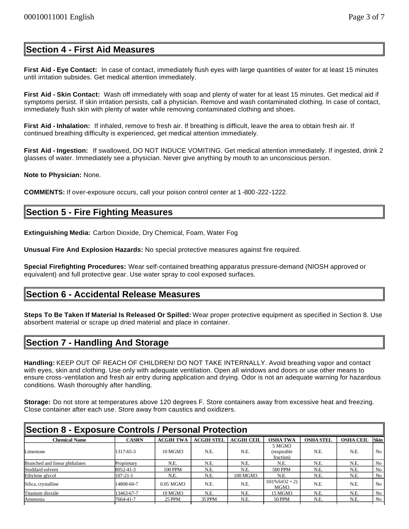### **Section 4 - First Aid Measures**

**First Aid - Eye Contact:** In case of contact, immediately flush eyes with large quantities of water for at least 15 minutes until irritation subsides. Get medical attention immediately.

**First Aid - Skin Contact:** Wash off immediately with soap and plenty of water for at least 15 minutes. Get medical aid if symptoms persist. If skin irritation persists, call a physician. Remove and wash contaminated clothing. In case of contact, immediately flush skin with plenty of water while removing contaminated clothing and shoes.

**First Aid - Inhalation:** If inhaled, remove to fresh air. If breathing is difficult, leave the area to obtain fresh air. If continued breathing difficulty is experienced, get medical attention immediately.

**First Aid - Ingestion:** If swallowed, DO NOT INDUCE VOMITING. Get medical attention immediately. If ingested, drink 2 glasses of water. Immediately see a physician. Never give anything by mouth to an unconscious person.

**Note to Physician:** None.

**COMMENTS:** If over-exposure occurs, call your poison control center at 1 -800-222-1222.

### **Section 5 - Fire Fighting Measures**

**Extinguishing Media:** Carbon Dioxide, Dry Chemical, Foam, Water Fog

**Unusual Fire And Explosion Hazards:** No special protective measures against fire required.

**Special Firefighting Procedures:** Wear self-contained breathing apparatus pressure-demand (NIOSH approved or equivalent) and full protective gear. Use water spray to cool exposed surfaces.

### **Section 6 - Accidental Release Measures**

**Steps To Be Taken If Material Is Released Or Spilled:** Wear proper protective equipment as specified in Section 8. Use absorbent material or scrape up dried material and place in container.

## **Section 7 - Handling And Storage**

**Handling:** KEEP OUT OF REACH OF CHILDREN! DO NOT TAKE INTERNALLY. Avoid breathing vapor and contact with eyes, skin and clothing. Use only with adequate ventilation. Open all windows and doors or use other means to ensure cross-ventilation and fresh air entry during application and drying. Odor is not an adequate warning for hazardous conditions. Wash thoroughly after handling.

**Storage:** Do not store at temperatures above 120 degrees F. Store containers away from excessive heat and freezing. Close container after each use. Store away from caustics and oxidizers.

| Section 8 - Exposure Controls / Personal Protection |                |                  |                   |                   |                                    |                  |                  |                |
|-----------------------------------------------------|----------------|------------------|-------------------|-------------------|------------------------------------|------------------|------------------|----------------|
| Chemical Name                                       | <b>CASRN</b>   | <b>ACGIH TWA</b> | <b>ACGIH STEL</b> | <b>ACGIH CEIL</b> | <b>OSHA TWA</b>                    | <b>OSHA STEL</b> | <b>OSHA CEIL</b> | <b>Skin</b>    |
| Limestone                                           | 1317-65-3      | 10 MGM3          | N.E.              | N.E.              | 5 MGM3<br>(respirable<br>fraction) | N.E.             | N.E.             | No.            |
| Branched and linear phthalates                      | Proprietary    | N.E.             | N.E.              | N.E.              | N.E.                               | N.E.             | N.E.             | No             |
| Stoddard solvent                                    | 8052-41-3      | <b>100 PPM</b>   | N.E.              | N.E.              | <b>500 PPM</b>                     | N.E.             | N.E.             | No             |
| Ethylene glycol                                     | $107 - 21 - 1$ | N.E.             | N.E.              | 100 MGM3          | N.E.                               | N.E.             | N.E.             | N <sub>0</sub> |
| Silica, crystalline                                 | 14808-60-7     | $0.05$ MGM3      | N.E.              | N.E.              | $10/(%SiO2 + 2)$<br>MGM3           | N.E.             | N.E.             | No             |
| Titanium dioxide                                    | 13463-67-7     | 10 MGM3          | N.E.              | N.E.              | 15 MGM3                            | N.E.             | N.E.             | No             |
| Ammonia                                             | 7664-41-7      | <b>25 PPM</b>    | 35 PPM            | N.E.              | 50 PPM                             | N.E.             | N.E.             | No             |
|                                                     |                |                  |                   |                   |                                    |                  |                  |                |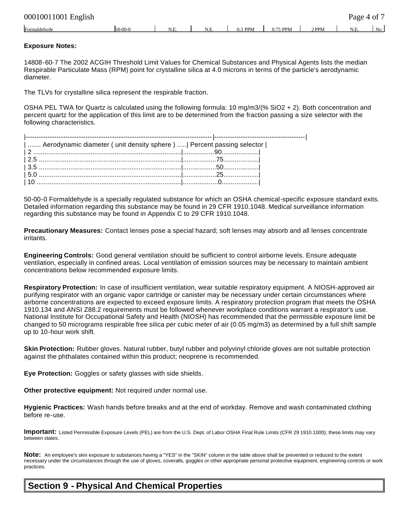| 00010011001 English |           |     |      |           |          |         | Page 4 of 7 |    |
|---------------------|-----------|-----|------|-----------|----------|---------|-------------|----|
| Formaldehyde        | $50-00-0$ | N.E | N.E. | $0.3$ PPM | 0.75 PPM | $2$ PPM | N.E.        | No |

#### **Exposure Notes:**

14808-60-7 The 2002 ACGIH Threshold Limit Values for Chemical Substances and Physical Agents lists the median Respirable Particulate Mass (RPM) point for crystalline silica at 4.0 microns in terms of the particle's aerodynamic diameter.

The TLVs for crystalline silica represent the respirable fraction.

OSHA PEL TWA for Quartz is calculated using the following formula: 10 mg/m3/(% SiO2 + 2). Both concentration and percent quartz for the application of this limit are to be determined from the fraction passing a size selector with the following characteristics.

| Aerodynamic diameter ( unit density sphere )    Percent passing selector |  |
|--------------------------------------------------------------------------|--|
|                                                                          |  |
|                                                                          |  |
|                                                                          |  |
|                                                                          |  |
|                                                                          |  |

50-00-0 Formaldehyde is a specially regulated substance for which an OSHA chemical-specific exposure standard exits. Detailed information regarding this substance may be found in 29 CFR 1910.1048. Medical surveillance information regarding this substance may be found in Appendix C to 29 CFR 1910.1048.

**Precautionary Measures:** Contact lenses pose a special hazard; soft lenses may absorb and all lenses concentrate irritants.

**Engineering Controls:** Good general ventilation should be sufficient to control airborne levels. Ensure adequate ventilation, especially in confined areas. Local ventilation of emission sources may be necessary to maintain ambient concentrations below recommended exposure limits.

**Respiratory Protection:** In case of insufficient ventilation, wear suitable respiratory equipment. A NIOSH-approved air purifying respirator with an organic vapor cartridge or canister may be necessary under certain circumstances where airborne concentrations are expected to exceed exposure limits. A respiratory protection program that meets the OSHA 1910.134 and ANSI Z88.2 requirements must be followed whenever workplace conditions warrant a respirator's use. National Institute for Occupational Safety and Health (NIOSH) has recommended that the permissible exposure limit be changed to 50 micrograms respirable free silica per cubic meter of air (0.05 mg/m3) as determined by a full shift sample up to 10-hour work shift.

**Skin Protection:** Rubber gloves. Natural rubber, butyl rubber and polyvinyl chloride gloves are not suitable protection against the phthalates contained within this product; neoprene is recommended.

**Eye Protection:** Goggles or safety glasses with side shields.

**Other protective equipment:** Not required under normal use.

**Hygienic Practices:** Wash hands before breaks and at the end of workday. Remove and wash contaminated clothing before re-use.

**Important:** Listed Permissible Exposure Levels (PEL) are from the U.S. Dept. of Labor OSHA Final Rule Limits (CFR 29 1910.1000); these limits may vary between states.

**Note:** An employee's skin exposure to substances having a "YES" in the "SKIN" column in the table above shall be prevented or reduced to the extent necessary under the circumstances through the use of gloves, coveralls, goggles or other appropriate personal protective equipment, engineering controls or work practices.

# **Section 9 - Physical And Chemical Properties**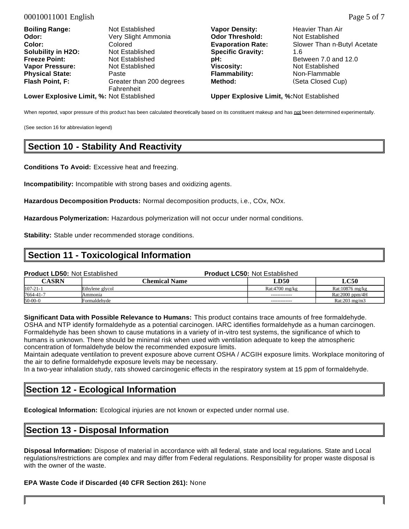| <b>Boiling Range:</b>                     | Not Established                        | <b>Vapor Density:</b>                           | Heavier Than Air            |
|-------------------------------------------|----------------------------------------|-------------------------------------------------|-----------------------------|
| Odor:                                     | Very Slight Ammonia                    | <b>Odor Threshold:</b>                          | Not Established             |
| <b>Color:</b>                             | Colored                                | <b>Evaporation Rate:</b>                        | Slower Than n-Butyl Acetate |
| Solubility in H2O:                        | Not Established                        | <b>Specific Gravity:</b>                        | 1.6                         |
| <b>Freeze Point:</b>                      | Not Established                        | pH:                                             | Between 7.0 and 12.0        |
| <b>Vapor Pressure:</b>                    | Not Established                        | Viscosity:                                      | Not Established             |
| <b>Physical State:</b>                    | Paste                                  | <b>Flammability:</b>                            | Non-Flammable               |
| Flash Point, F:                           | Greater than 200 degrees<br>Fahrenheit | Method:                                         | (Seta Closed Cup)           |
| Lower Explosive Limit, %: Not Established |                                        | <b>Upper Explosive Limit, %:Not Established</b> |                             |

When reported, vapor pressure of this product has been calculated theoretically based on its constituent makeup and has not been determined experimentally.

(See section 16 for abbreviation legend)

### **Section 10 - Stability And Reactivity**

**Conditions To Avoid:** Excessive heat and freezing.

**Incompatibility:** Incompatible with strong bases and oxidizing agents.

**Hazardous Decomposition Products:** Normal decomposition products, i.e., COx, NOx.

**Hazardous Polymerization:** Hazardous polymerization will not occur under normal conditions.

**Stability:** Stable under recommended storage conditions.

### **Section 11 - Toxicological Information**

| <b>Product LD50: Not Established</b> |                 | <b>Product LC50: Not Established</b> |                         |
|--------------------------------------|-----------------|--------------------------------------|-------------------------|
| <b>CASRN</b>                         | Chemical Name   | <b>LD50</b>                          | <b>LC50</b>             |
| $107 - 21 - 1$                       | Ethylene glycol | Rat:4700 mg/kg                       | Rat:10876 mg/kg         |
| 7664-41-7                            | Ammonia         |                                      | Rat:2000 ppm/4H         |
| $50-00-0$                            | Formaldehvde    |                                      | Rat: $203 \text{ mg/m}$ |

**Significant Data with Possible Relevance to Humans:** This product contains trace amounts of free formaldehyde. OSHA and NTP identify formaldehyde as a potential carcinogen. IARC identifies formaldehyde as a human carcinogen. Formaldehyde has been shown to cause mutations in a variety of in-vitro test systems, the significance of which to humans is unknown. There should be minimal risk when used with ventilation adequate to keep the atmospheric concentration of formaldehyde below the recommended exposure limits.

Maintain adequate ventilation to prevent exposure above current OSHA / ACGIH exposure limits. Workplace monitoring of the air to define formaldehyde exposure levels may be necessary.

In a two-year inhalation study, rats showed carcinogenic effects in the respiratory system at 15 ppm of formaldehyde.

### **Section 12 - Ecological Information**

**Ecological Information:** Ecological injuries are not known or expected under normal use.

### **Section 13 - Disposal Information**

**Disposal Information:** Dispose of material in accordance with all federal, state and local regulations. State and Local regulations/restrictions are complex and may differ from Federal regulations. Responsibility for proper waste disposal is with the owner of the waste.

#### **EPA Waste Code if Discarded (40 CFR Section 261):** None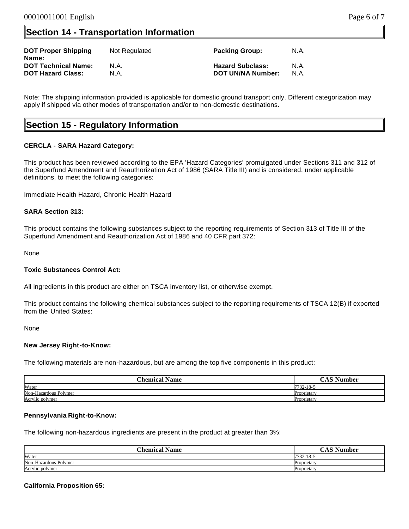## **Section 14 - Transportation Information**

| <b>DOT Proper Shipping</b><br>Name: | Not Regulated | <b>Packing Group:</b>    | N.A. |
|-------------------------------------|---------------|--------------------------|------|
| <b>DOT Technical Name:</b>          | N.A.          | <b>Hazard Subclass:</b>  | N.A. |
| <b>DOT Hazard Class:</b>            | N.A.          | <b>DOT UN/NA Number:</b> | N.A. |

Note: The shipping information provided is applicable for domestic ground transport only. Different categorization may apply if shipped via other modes of transportation and/or to non-domestic destinations.

### **Section 15 - Regulatory Information**

#### **CERCLA - SARA Hazard Category:**

This product has been reviewed according to the EPA 'Hazard Categories' promulgated under Sections 311 and 312 of the Superfund Amendment and Reauthorization Act of 1986 (SARA Title III) and is considered, under applicable definitions, to meet the following categories:

Immediate Health Hazard, Chronic Health Hazard

#### **SARA Section 313:**

This product contains the following substances subject to the reporting requirements of Section 313 of Title III of the Superfund Amendment and Reauthorization Act of 1986 and 40 CFR part 372:

None

#### **Toxic Substances Control Act:**

All ingredients in this product are either on TSCA inventory list, or otherwise exempt.

This product contains the following chemical substances subject to the reporting requirements of TSCA 12(B) if exported from the United States:

None

#### **New Jersey Right-to-Know:**

The following materials are non-hazardous, but are among the top five components in this product:

| <b>Chemical Name</b>  | <b>CAC NL</b><br>√umber |
|-----------------------|-------------------------|
| Water                 | $7732 - 18$ -           |
| Non-Hazardous Polymer | Proprietary             |
| Acrylic polymer       | Proprietary             |

#### **Pennsylvania Right-to-Know:**

The following non-hazardous ingredients are present in the product at greater than 3%:

| <b>Chemical Name</b>  | $\gamma$ $\sim$ S Number |
|-----------------------|--------------------------|
| Water                 | 7732-18-.                |
| Non-Hazardous Polymer | Proprietary              |
| Acrylic polymer       | Proprietary              |

#### **California Proposition 65:**